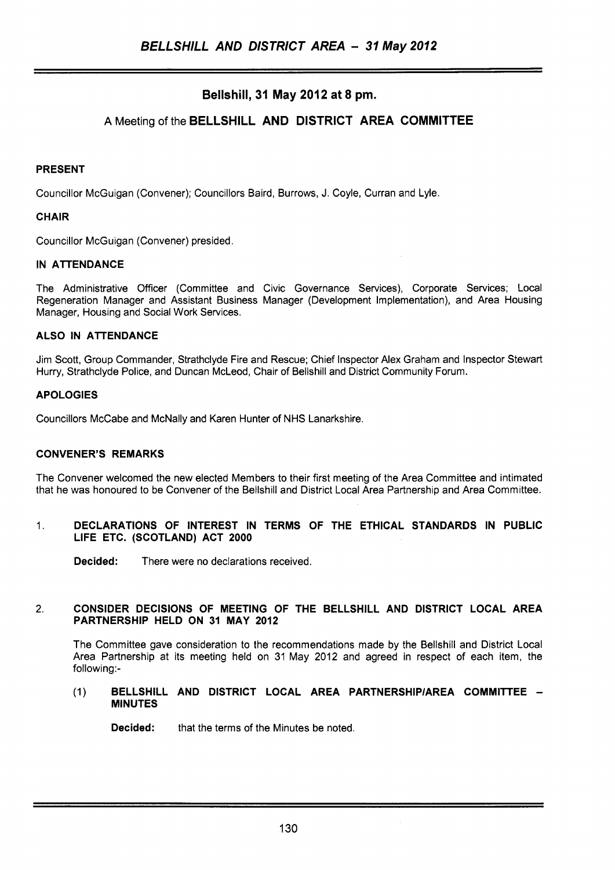# **Bellshill, 31 May 2012 at 8 pm.**

# **A** Meeting of the **BELLSHILL AND DISTRICT AREA COMMITTEE**

### **PRESENT**

Councillor McGuigan (Convener); Councillors Baird, Burrows, J. Coyle, Curran and Lyle

### **CHAIR**

Councillor McGuigan (Convener) presided.

### **IN ATTENDANCE**

The Administrative Officer (Committee and Civic Governance Services), Corporate Services; Local Regeneration Manager and Assistant Business Manager (Development Implementation), and Area Housing Manager, Housing and Social Work Services.

### **ALSO IN ATTENDANCE**

Jim Scott, Group Commander, Strathclyde Fire and Rescue; Chief Inspector Alex Graham and Inspector Stewart Hurry, Strathclyde Police, and Duncan McLeod, Chair of Bellshill and District Community Forum.

### **APOLOGIES**

Councillors McCabe and McNally and Karen Hunter of NHS Lanarkshire.

# **CONVENER'S REMARKS**

The Convener welcomed the new elected Members to their first meeting of the Area Committee and intimated that he was honoured to be Convener of the Bellshill and District Local Area Partnership and Area Committee.

### 1. **DECLARATIONS OF INTEREST IN TERMS OF THE ETHICAL STANDARDS IN PUBLIC LIFE ETC. (SCOTLAND) ACT 2000**

**Decided:** There were no declarations received.

# 2. **CONSIDER DECISIONS OF MEETING OF THE BELLSHILL AND DISTRICT LOCAL AREA PARTNERSHIP HELD ON 31 MAY 2012**

The Committee gave consideration to the recommendations made by the Bellshill and District Local Area Partnership at its meeting held on 31 May 2012 and agreed in respect of each item, the following:-

### (1) **BELLSHILL AND DISTRICT LOCAL AREA PARTNERSHlPlAREA COMMITTEE** - **MINUTES**

**Decided:** that the terms of the Minutes be noted.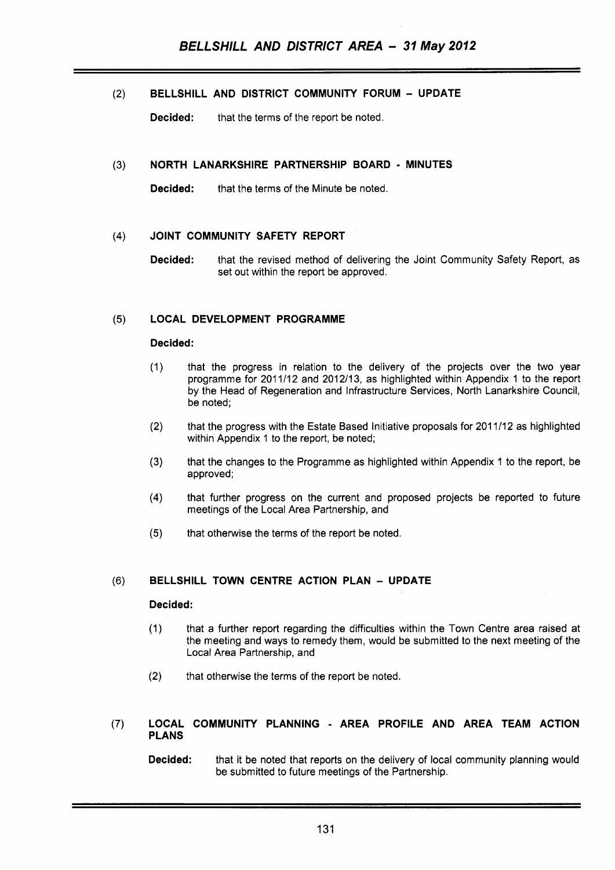(2) **BELLSHILL AND DISTRICT COMMUNITY FORUM** - **UPDATE** 

**Decided:** that the terms of the report be noted.

#### **NORTH LANARKSHIRE PARTNERSHIP BOARD** - **MINUTES**   $(3)$

**Decided:** that the terms of the Minute be noted.

#### $(4)$ **JOINT COMMUNITY SAFETY REPORT**

**Decided:** that the revised method of delivering the Joint Community Safety Report, as set out within the report be approved.

#### **LOCAL DEVELOPMENT PROGRAMME**   $(5)$

### **Decided:**

- that the progress in relation to the delivery of the projects over the two year  $(1)$ programme for 201 1/12 and 2012/13, as highlighted within Appendix 1 to the report by the Head of Regeneration and Infrastructure Services, North Lanarkshire Council, be noted;
- $(2)$ that the progress with the Estate Based Initiative proposals for 2011112 as highlighted within Appendix 1 to the report, be noted;
- $(3)$ that the changes to the Programme as highlighted within Appendix 1 to the report, be approved;
- that further progress on the current and proposed projects be reported to future  $(4)$ meetings of the Local Area Partnership, and
- $(5)$ that otherwise the terms of the report be noted.

# **(6) BELLSHILL TOWN CENTRE ACTION PLAN** - **UPDATE**

# **Decided:**

- (1) that a further report regarding the difficulties within the Town Centre area raised at the meeting and ways to remedy them, would be submitted to the next meeting of the Local Area Partnership, and
- (2) that otherwise the terms of the report be noted.

### (7) **LOCAL COMMUNITY PLANNING** - **AREA PROFILE AND AREA TEAM ACTION PLANS**

**Decided:** that it be noted that reports on the delivery of local community planning would be submitted to future meetings of the Partnership.